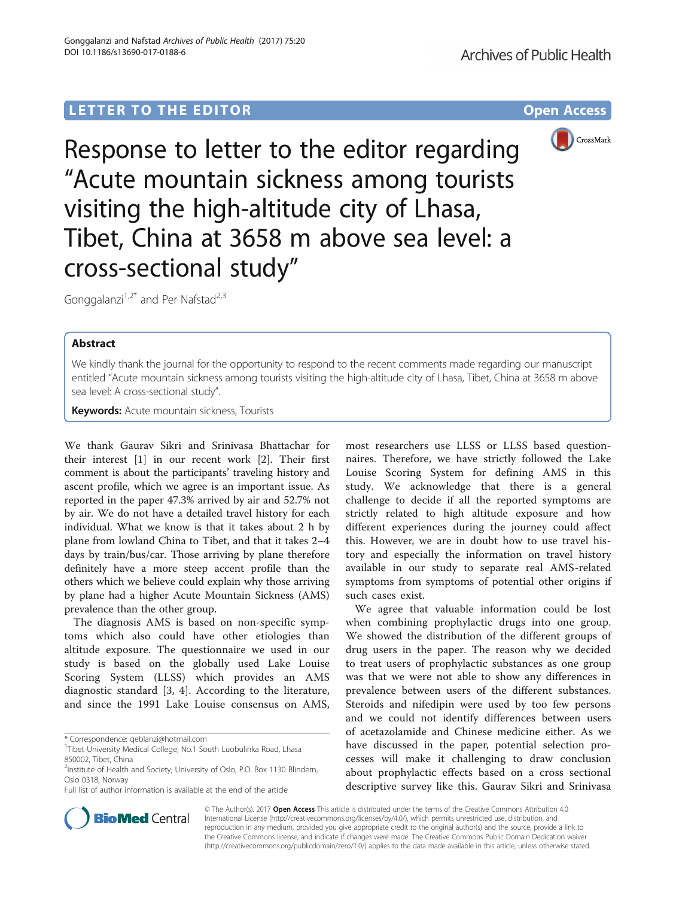# **LETTER TO THE EDITOR CONSIDERING ACCESS**



Response to letter to the editor regarding "Acute mountain sickness among tourists visiting the high-altitude city of Lhasa, Tibet, China at 3658 m above sea level: a cross-sectional study"

Gonggalanzi<sup>1,2\*</sup> and Per Nafstad<sup>2,3</sup>

# Abstract

We kindly thank the journal for the opportunity to respond to the recent comments made regarding our manuscript entitled "Acute mountain sickness among tourists visiting the high-altitude city of Lhasa, Tibet, China at 3658 m above sea level: A cross-sectional study".

**Keywords:** Acute mountain sickness, Tourists

We thank Gaurav Sikri and Srinivasa Bhattachar for their interest [\[1](#page-1-0)] in our recent work [\[2\]](#page-1-0). Their first comment is about the participants' traveling history and ascent profile, which we agree is an important issue. As reported in the paper 47.3% arrived by air and 52.7% not by air. We do not have a detailed travel history for each individual. What we know is that it takes about 2 h by plane from lowland China to Tibet, and that it takes 2–4 days by train/bus/car. Those arriving by plane therefore definitely have a more steep accent profile than the others which we believe could explain why those arriving by plane had a higher Acute Mountain Sickness (AMS) prevalence than the other group.

The diagnosis AMS is based on non-specific symptoms which also could have other etiologies than altitude exposure. The questionnaire we used in our study is based on the globally used Lake Louise Scoring System (LLSS) which provides an AMS diagnostic standard [[3, 4](#page-1-0)]. According to the literature, and since the 1991 Lake Louise consensus on AMS,

Full list of author information is available at the end of the article

most researchers use LLSS or LLSS based questionnaires. Therefore, we have strictly followed the Lake Louise Scoring System for defining AMS in this study. We acknowledge that there is a general challenge to decide if all the reported symptoms are strictly related to high altitude exposure and how different experiences during the journey could affect this. However, we are in doubt how to use travel history and especially the information on travel history available in our study to separate real AMS-related symptoms from symptoms of potential other origins if such cases exist.

We agree that valuable information could be lost when combining prophylactic drugs into one group. We showed the distribution of the different groups of drug users in the paper. The reason why we decided to treat users of prophylactic substances as one group was that we were not able to show any differences in prevalence between users of the different substances. Steroids and nifedipin were used by too few persons and we could not identify differences between users of acetazolamide and Chinese medicine either. As we have discussed in the paper, potential selection processes will make it challenging to draw conclusion about prophylactic effects based on a cross sectional descriptive survey like this. Gaurav Sikri and Srinivasa



© The Author(s). 2017 **Open Access** This article is distributed under the terms of the Creative Commons Attribution 4.0 International License [\(http://creativecommons.org/licenses/by/4.0/](http://creativecommons.org/licenses/by/4.0/)), which permits unrestricted use, distribution, and reproduction in any medium, provided you give appropriate credit to the original author(s) and the source, provide a link to the Creative Commons license, and indicate if changes were made. The Creative Commons Public Domain Dedication waiver [\(http://creativecommons.org/publicdomain/zero/1.0/](http://creativecommons.org/publicdomain/zero/1.0/)) applies to the data made available in this article, unless otherwise stated.

<sup>\*</sup> Correspondence: [qeblanzi@hotmail.com](mailto:qeblanzi@hotmail.com) <sup>1</sup>

<sup>&</sup>lt;sup>1</sup>Tibet University Medical College, No.1 South Luobulinka Road, Lhasa 850002, Tibet, China

<sup>&</sup>lt;sup>2</sup>Institute of Health and Society, University of Oslo, P.O. Box 1130 Blindern, Oslo 0318, Norway